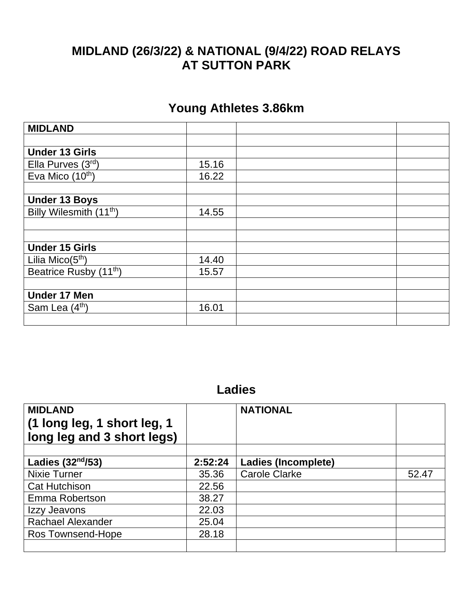## **MIDLAND (26/3/22) & NATIONAL (9/4/22) ROAD RELAYS AT SUTTON PARK**

## **Young Athletes 3.86km**

| <b>MIDLAND</b>                      |       |  |
|-------------------------------------|-------|--|
|                                     |       |  |
| <b>Under 13 Girls</b>               |       |  |
| Ella Purves $(3rd)$                 | 15.16 |  |
| Eva Mico $(10th)$                   | 16.22 |  |
|                                     |       |  |
| <b>Under 13 Boys</b>                |       |  |
| Billy Wilesmith (11 <sup>th</sup> ) | 14.55 |  |
|                                     |       |  |
|                                     |       |  |
| <b>Under 15 Girls</b>               |       |  |
| Lilia Mico $(5th)$                  | 14.40 |  |
| Beatrice Rusby (11 <sup>th</sup> )  | 15.57 |  |
|                                     |       |  |
| <b>Under 17 Men</b>                 |       |  |
| Sam Lea (4th)                       | 16.01 |  |
|                                     |       |  |

## **Ladies**

| <b>MIDLAND</b><br>(1 long leg, 1 short leg, 1<br>long leg and 3 short legs) |         | <b>NATIONAL</b>            |       |
|-----------------------------------------------------------------------------|---------|----------------------------|-------|
| Ladies $(32nd/53)$                                                          | 2:52:24 | <b>Ladies (Incomplete)</b> |       |
| <b>Nixie Turner</b>                                                         | 35.36   | <b>Carole Clarke</b>       | 52.47 |
| <b>Cat Hutchison</b>                                                        | 22.56   |                            |       |
| Emma Robertson                                                              | 38.27   |                            |       |
| Izzy Jeavons                                                                | 22.03   |                            |       |
| <b>Rachael Alexander</b>                                                    | 25.04   |                            |       |
| Ros Townsend-Hope                                                           | 28.18   |                            |       |
|                                                                             |         |                            |       |